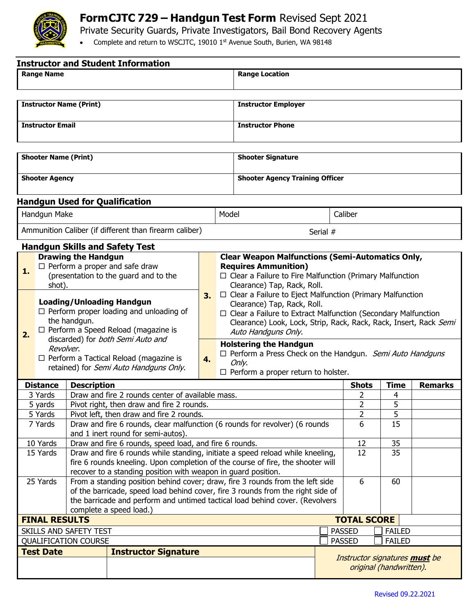

## **FormCJTC 729 – Handgun Test Form** Revised Sept 2021

Private Security Guards, Private Investigators, Bail Bond Recovery Agents

• Complete and return to WSCJTC, 19010 1st Avenue South, Burien, WA 98148

| <b>Instructor and Student Information</b>              |                                                                                                                                                                                       |                                                                                                                                                                                                                                                                             |                                       |    |                                                                                                                                                                                                                                                                                                 |                                                                                                                                                                                     |                                                          |    |                |  |  |
|--------------------------------------------------------|---------------------------------------------------------------------------------------------------------------------------------------------------------------------------------------|-----------------------------------------------------------------------------------------------------------------------------------------------------------------------------------------------------------------------------------------------------------------------------|---------------------------------------|----|-------------------------------------------------------------------------------------------------------------------------------------------------------------------------------------------------------------------------------------------------------------------------------------------------|-------------------------------------------------------------------------------------------------------------------------------------------------------------------------------------|----------------------------------------------------------|----|----------------|--|--|
|                                                        | <b>Range Name</b>                                                                                                                                                                     |                                                                                                                                                                                                                                                                             |                                       |    |                                                                                                                                                                                                                                                                                                 | <b>Range Location</b>                                                                                                                                                               |                                                          |    |                |  |  |
|                                                        |                                                                                                                                                                                       | <b>Instructor Name (Print)</b>                                                                                                                                                                                                                                              |                                       |    |                                                                                                                                                                                                                                                                                                 | <b>Instructor Employer</b>                                                                                                                                                          |                                                          |    |                |  |  |
|                                                        |                                                                                                                                                                                       |                                                                                                                                                                                                                                                                             |                                       |    |                                                                                                                                                                                                                                                                                                 |                                                                                                                                                                                     |                                                          |    |                |  |  |
| <b>Instructor Email</b>                                |                                                                                                                                                                                       |                                                                                                                                                                                                                                                                             |                                       |    |                                                                                                                                                                                                                                                                                                 | <b>Instructor Phone</b>                                                                                                                                                             |                                                          |    |                |  |  |
|                                                        | <b>Shooter Name (Print)</b>                                                                                                                                                           |                                                                                                                                                                                                                                                                             |                                       |    |                                                                                                                                                                                                                                                                                                 | <b>Shooter Signature</b>                                                                                                                                                            |                                                          |    |                |  |  |
| <b>Shooter Agency</b>                                  |                                                                                                                                                                                       |                                                                                                                                                                                                                                                                             |                                       |    |                                                                                                                                                                                                                                                                                                 | <b>Shooter Agency Training Officer</b>                                                                                                                                              |                                                          |    |                |  |  |
|                                                        |                                                                                                                                                                                       |                                                                                                                                                                                                                                                                             | <b>Handgun Used for Qualification</b> |    |                                                                                                                                                                                                                                                                                                 |                                                                                                                                                                                     |                                                          |    |                |  |  |
|                                                        | Handgun Make                                                                                                                                                                          |                                                                                                                                                                                                                                                                             |                                       |    |                                                                                                                                                                                                                                                                                                 | Model<br>Caliber                                                                                                                                                                    |                                                          |    |                |  |  |
| Ammunition Caliber (if different than firearm caliber) |                                                                                                                                                                                       |                                                                                                                                                                                                                                                                             |                                       |    |                                                                                                                                                                                                                                                                                                 | Serial #                                                                                                                                                                            |                                                          |    |                |  |  |
|                                                        |                                                                                                                                                                                       |                                                                                                                                                                                                                                                                             | <b>Handgun Skills and Safety Test</b> |    |                                                                                                                                                                                                                                                                                                 |                                                                                                                                                                                     |                                                          |    |                |  |  |
| 1.                                                     |                                                                                                                                                                                       | <b>Drawing the Handgun</b><br>$\Box$ Perform a proper and safe draw<br>(presentation to the guard and to the<br>shot).                                                                                                                                                      |                                       |    |                                                                                                                                                                                                                                                                                                 | <b>Clear Weapon Malfunctions (Semi-Automatics Only,</b><br><b>Requires Ammunition)</b><br>□ Clear a Failure to Fire Malfunction (Primary Malfunction<br>Clearance) Tap, Rack, Roll. |                                                          |    |                |  |  |
| 2.                                                     | <b>Loading/Unloading Handgun</b><br>$\Box$ Perform proper loading and unloading of<br>the handgun.<br>$\Box$ Perform a Speed Reload (magazine is<br>discarded) for both Semi Auto and |                                                                                                                                                                                                                                                                             |                                       | 3. | □ Clear a Failure to Eject Malfunction (Primary Malfunction<br>Clearance) Tap, Rack, Roll.<br>$\Box$ Clear a Failure to Extract Malfunction (Secondary Malfunction<br>Clearance) Look, Lock, Strip, Rack, Rack, Rack, Insert, Rack Semi<br>Auto Handguns Only.<br><b>Holstering the Handgun</b> |                                                                                                                                                                                     |                                                          |    |                |  |  |
|                                                        | Revolver.<br>$\Box$ Perform a Tactical Reload (magazine is<br>retained) for Semi Auto Handguns Only.                                                                                  |                                                                                                                                                                                                                                                                             |                                       | 4. |                                                                                                                                                                                                                                                                                                 | $\Box$ Perform a Press Check on the Handgun. Semi Auto Handguns<br>Only.<br>$\Box$ Perform a proper return to holster.                                                              |                                                          |    |                |  |  |
| <b>Distance</b><br><b>Description</b>                  |                                                                                                                                                                                       |                                                                                                                                                                                                                                                                             |                                       |    | <b>Shots</b><br><b>Time</b>                                                                                                                                                                                                                                                                     |                                                                                                                                                                                     |                                                          |    | <b>Remarks</b> |  |  |
|                                                        | 3 Yards                                                                                                                                                                               | Draw and fire 2 rounds center of available mass.                                                                                                                                                                                                                            |                                       |    |                                                                                                                                                                                                                                                                                                 |                                                                                                                                                                                     |                                                          | 2  | 4              |  |  |
| 5 yards                                                |                                                                                                                                                                                       | Pivot right, then draw and fire 2 rounds.                                                                                                                                                                                                                                   |                                       |    |                                                                                                                                                                                                                                                                                                 |                                                                                                                                                                                     |                                                          | 2  | 5              |  |  |
| 5 Yards                                                |                                                                                                                                                                                       | Pivot left, then draw and fire 2 rounds.                                                                                                                                                                                                                                    |                                       |    |                                                                                                                                                                                                                                                                                                 |                                                                                                                                                                                     |                                                          | 2  | 5              |  |  |
| 7 Yards                                                |                                                                                                                                                                                       | Draw and fire 6 rounds, clear malfunction (6 rounds for revolver) (6 rounds                                                                                                                                                                                                 |                                       |    |                                                                                                                                                                                                                                                                                                 |                                                                                                                                                                                     |                                                          | 6  | 15             |  |  |
| 10 Yards                                               |                                                                                                                                                                                       | and 1 inert round for semi-autos).<br>Draw and fire 6 rounds, speed load, and fire 6 rounds.                                                                                                                                                                                |                                       |    |                                                                                                                                                                                                                                                                                                 |                                                                                                                                                                                     | 12                                                       | 35 |                |  |  |
| 15 Yards                                               |                                                                                                                                                                                       | Draw and fire 6 rounds while standing, initiate a speed reload while kneeling,<br>fire 6 rounds kneeling. Upon completion of the course of fire, the shooter will<br>recover to a standing position with weapon in guard position.                                          |                                       |    |                                                                                                                                                                                                                                                                                                 |                                                                                                                                                                                     |                                                          | 12 | 35             |  |  |
| 25 Yards                                               |                                                                                                                                                                                       | From a standing position behind cover; draw, fire 3 rounds from the left side<br>of the barricade, speed load behind cover, fire 3 rounds from the right side of<br>the barricade and perform and untimed tactical load behind cover. (Revolvers<br>complete a speed load.) |                                       |    |                                                                                                                                                                                                                                                                                                 |                                                                                                                                                                                     |                                                          | 6  | 60             |  |  |
| <b>TOTAL SCORE</b><br><b>FINAL RESULTS</b>             |                                                                                                                                                                                       |                                                                                                                                                                                                                                                                             |                                       |    |                                                                                                                                                                                                                                                                                                 |                                                                                                                                                                                     |                                                          |    |                |  |  |
| <b>SKILLS AND SAFETY TEST</b>                          |                                                                                                                                                                                       |                                                                                                                                                                                                                                                                             |                                       |    |                                                                                                                                                                                                                                                                                                 | <b>PASSED</b><br><b>FAILED</b>                                                                                                                                                      |                                                          |    |                |  |  |
| <b>QUALIFICATION COURSE</b>                            |                                                                                                                                                                                       |                                                                                                                                                                                                                                                                             |                                       |    |                                                                                                                                                                                                                                                                                                 |                                                                                                                                                                                     | <b>PASSED</b><br><b>FAILED</b>                           |    |                |  |  |
|                                                        | <b>Test Date</b><br><b>Instructor Signature</b>                                                                                                                                       |                                                                                                                                                                                                                                                                             |                                       |    |                                                                                                                                                                                                                                                                                                 |                                                                                                                                                                                     | Instructor signatures must be<br>original (handwritten). |    |                |  |  |